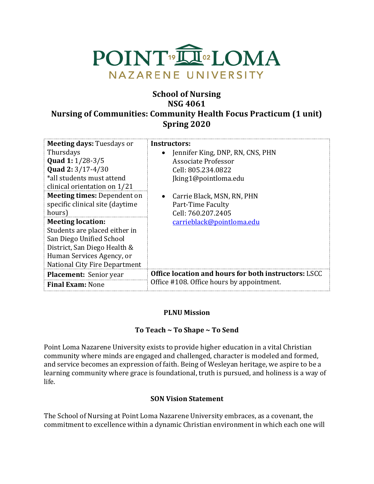

# **School of Nursing NSG 4061 Nursing of Communities: Community Health Focus Practicum (1 unit) Spring 2020**

| <b>Meeting days: Tuesdays or</b>                                                                                                                                                           | Instructors:                                                |
|--------------------------------------------------------------------------------------------------------------------------------------------------------------------------------------------|-------------------------------------------------------------|
| Thursdays                                                                                                                                                                                  | Jennifer King, DNP, RN, CNS, PHN                            |
| <b>Quad 1:</b> $1/28-3/5$                                                                                                                                                                  | Associate Professor                                         |
| Quad 2: 3/17-4/30<br>*all students must attend<br>clinical orientation on 1/21                                                                                                             | Cell: 805.234.0822<br>Jking1@pointloma.edu                  |
| <b>Meeting times: Dependent on</b>                                                                                                                                                         | Carrie Black, MSN, RN, PHN                                  |
| specific clinical site (daytime                                                                                                                                                            | Part-Time Faculty                                           |
| hours)                                                                                                                                                                                     | Cell: 760.207.2405                                          |
| <b>Meeting location:</b><br>Students are placed either in<br>San Diego Unified School<br>District, San Diego Health &<br>Human Services Agency, or<br><b>National City Fire Department</b> | carrieblack@pointloma.edu                                   |
| <b>Placement:</b> Senior year                                                                                                                                                              | <b>Office location and hours for both instructors: LSCC</b> |
| <b>Final Exam: None</b>                                                                                                                                                                    | Office #108. Office hours by appointment.                   |

#### **PLNU Mission**

## To Teach ~ To Shape ~ To Send

Point Loma Nazarene University exists to provide higher education in a vital Christian community where minds are engaged and challenged, character is modeled and formed, and service becomes an expression of faith. Being of Wesleyan heritage, we aspire to be a learning community where grace is foundational, truth is pursued, and holiness is a way of life.

#### **SON Vision Statement**

The School of Nursing at Point Loma Nazarene University embraces, as a covenant, the commitment to excellence within a dynamic Christian environment in which each one will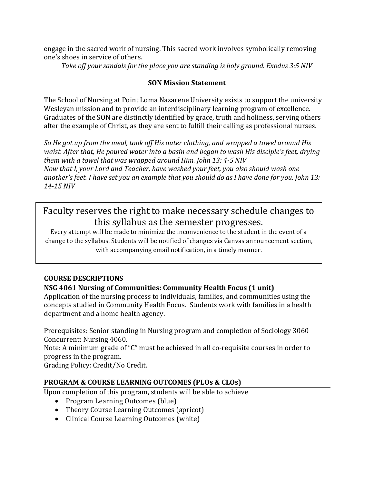engage in the sacred work of nursing. This sacred work involves symbolically removing one's shoes in service of others.

Take off your sandals for the place you are standing is holy ground. Exodus 3:5 NIV

## **SON Mission Statement**

The School of Nursing at Point Loma Nazarene University exists to support the university Wesleyan mission and to provide an interdisciplinary learning program of excellence. Graduates of the SON are distinctly identified by grace, truth and holiness, serving others after the example of Christ, as they are sent to fulfill their calling as professional nurses.

So He got up from the meal, took off His outer clothing, and wrapped a towel around His *waist. After that, He poured water into a basin and began to wash His disciple's feet, drying them* with a towel that was wrapped around Him. John 13: 4-5 NIV *Now that I, your Lord and Teacher, have washed your feet, you also should wash one* another's feet. I have set you an example that you should do as I have done for you. John 13: *14-15 NIV* 

Faculty reserves the right to make necessary schedule changes to this syllabus as the semester progresses.

Every attempt will be made to minimize the inconvenience to the student in the event of a change to the syllabus. Students will be notified of changes via Canvas announcement section, with accompanying email notification, in a timely manner.

## **COURSE DESCRIPTIONS**

## **NSG 4061 Nursing of Communities: Community Health Focus (1 unit)**

Application of the nursing process to individuals, families, and communities using the concepts studied in Community Health Focus. Students work with families in a health department and a home health agency.

Prerequisites: Senior standing in Nursing program and completion of Sociology 3060 Concurrent: Nursing 4060.

Note: A minimum grade of "C" must be achieved in all co-requisite courses in order to progress in the program.

Grading Policy: Credit/No Credit.

# **PROGRAM & COURSE LEARNING OUTCOMES (PLOs & CLOs)**

Upon completion of this program, students will be able to achieve

- Program Learning Outcomes (blue)
- Theory Course Learning Outcomes (apricot)
- Clinical Course Learning Outcomes (white)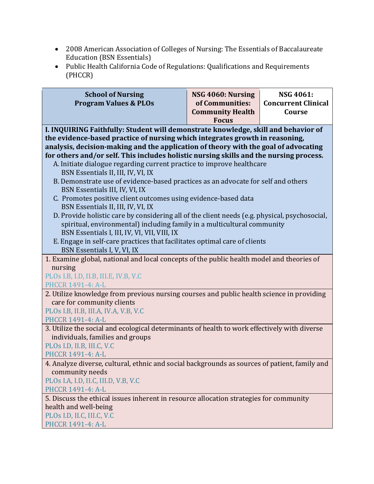- 2008 American Association of Colleges of Nursing: The Essentials of Baccalaureate Education (BSN Essentials)
- Public Health California Code of Regulations: Qualifications and Requirements (PHCCR)

| <b>School of Nursing</b><br><b>Program Values &amp; PLOs</b>                                                                                                       | NSG 4060: Nursing<br>of Communities:<br><b>Community Health</b><br><b>Focus</b> | <b>NSG 4061:</b><br><b>Concurrent Clinical</b><br>Course |
|--------------------------------------------------------------------------------------------------------------------------------------------------------------------|---------------------------------------------------------------------------------|----------------------------------------------------------|
| I. INQUIRING Faithfully: Student will demonstrate knowledge, skill and behavior of<br>the evidence-based practice of nursing which integrates growth in reasoning, |                                                                                 |                                                          |
| analysis, decision-making and the application of theory with the goal of advocating                                                                                |                                                                                 |                                                          |
| for others and/or self. This includes holistic nursing skills and the nursing process.                                                                             |                                                                                 |                                                          |
| A. Initiate dialogue regarding current practice to improve healthcare<br>BSN Essentials II, III, IV, VI, IX                                                        |                                                                                 |                                                          |
| B. Demonstrate use of evidence-based practices as an advocate for self and others<br>BSN Essentials III, IV, VI, IX                                                |                                                                                 |                                                          |
| C. Promotes positive client outcomes using evidence-based data                                                                                                     |                                                                                 |                                                          |
| BSN Essentials II, III, IV, VI, IX                                                                                                                                 |                                                                                 |                                                          |
| D. Provide holistic care by considering all of the client needs (e.g. physical, psychosocial,                                                                      |                                                                                 |                                                          |
| spiritual, environmental) including family in a multicultural community<br>BSN Essentials I, III, IV, VI, VII, VIII, IX                                            |                                                                                 |                                                          |
| E. Engage in self-care practices that facilitates optimal care of clients                                                                                          |                                                                                 |                                                          |
| BSN Essentials I, V, VI, IX                                                                                                                                        |                                                                                 |                                                          |
| 1. Examine global, national and local concepts of the public health model and theories of                                                                          |                                                                                 |                                                          |
| nursing                                                                                                                                                            |                                                                                 |                                                          |
| PLOs I.B, I.D, II.B, III.E, IV.B, V.C                                                                                                                              |                                                                                 |                                                          |
| PHCCR 1491-4: A-L<br>2. Utilize knowledge from previous nursing courses and public health science in providing                                                     |                                                                                 |                                                          |
| care for community clients                                                                                                                                         |                                                                                 |                                                          |
| PLOs I.B, II.B, III.A, IV.A, V.B, V.C                                                                                                                              |                                                                                 |                                                          |
| <b>PHCCR 1491-4: A-L</b>                                                                                                                                           |                                                                                 |                                                          |
| 3. Utilize the social and ecological determinants of health to work effectively with diverse                                                                       |                                                                                 |                                                          |
| individuals, families and groups                                                                                                                                   |                                                                                 |                                                          |
| PLOs I.D, II.B, III.C, V.C                                                                                                                                         |                                                                                 |                                                          |
| <b>PHCCR 1491-4: A-L</b>                                                                                                                                           |                                                                                 |                                                          |
| 4. Analyze diverse, cultural, ethnic and social backgrounds as sources of patient, family and<br>community needs                                                   |                                                                                 |                                                          |
| PLOs I.A, I.D, II.C, III.D, V.B, V.C                                                                                                                               |                                                                                 |                                                          |
| PHCCR 1491-4: A-L                                                                                                                                                  |                                                                                 |                                                          |
| 5. Discuss the ethical issues inherent in resource allocation strategies for community                                                                             |                                                                                 |                                                          |
| health and well-being                                                                                                                                              |                                                                                 |                                                          |
| PLOs I.D, II.C, III.C, V.C                                                                                                                                         |                                                                                 |                                                          |
| PHCCR 1491-4: A-L                                                                                                                                                  |                                                                                 |                                                          |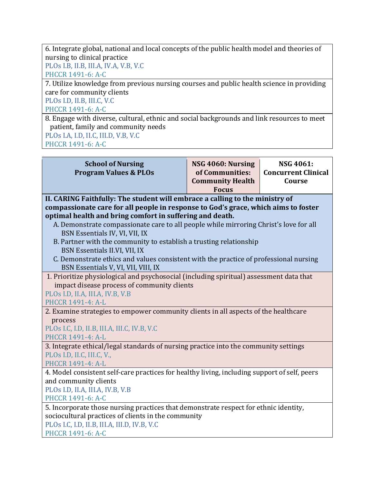6. Integrate global, national and local concepts of the public health model and theories of nursing to clinical practice PLOs I.B, II.B, III.A, IV.A, V.B, V.C

PHCCR 1491-6: A-C

7. Utilize knowledge from previous nursing courses and public health science in providing care for community clients

PLOs I.D, II.B, III.C, V.C

PHCCR 1491-6: A-C

8. Engage with diverse, cultural, ethnic and social backgrounds and link resources to meet patient, family and community needs PLOs I.A, I.D, II.C, III.D, V.B, V.C

PHCCR 1491-6: A-C

| <b>School of Nursing</b><br><b>Program Values &amp; PLOs</b>                                 | NSG 4060: Nursing<br>of Communities:<br><b>Community Health</b><br><b>Focus</b> | <b>NSG 4061:</b><br><b>Concurrent Clinical</b><br>Course |
|----------------------------------------------------------------------------------------------|---------------------------------------------------------------------------------|----------------------------------------------------------|
| II. CARING Faithfully: The student will embrace a calling to the ministry of                 |                                                                                 |                                                          |
| compassionate care for all people in response to God's grace, which aims to foster           |                                                                                 |                                                          |
| optimal health and bring comfort in suffering and death.                                     |                                                                                 |                                                          |
| A. Demonstrate compassionate care to all people while mirroring Christ's love for all        |                                                                                 |                                                          |
| BSN Essentials IV, VI, VII, IX                                                               |                                                                                 |                                                          |
| B. Partner with the community to establish a trusting relationship                           |                                                                                 |                                                          |
| BSN Essentials II.VI, VII, IX                                                                |                                                                                 |                                                          |
| C. Demonstrate ethics and values consistent with the practice of professional nursing        |                                                                                 |                                                          |
| BSN Essentials V, VI, VII, VIII, IX                                                          |                                                                                 |                                                          |
| 1. Prioritize physiological and psychosocial (including spiritual) assessment data that      |                                                                                 |                                                          |
| impact disease process of community clients<br>PLOs I.D, II.A, III.A, IV.B, V.B              |                                                                                 |                                                          |
| <b>PHCCR 1491-4: A-L</b>                                                                     |                                                                                 |                                                          |
| 2. Examine strategies to empower community clients in all aspects of the healthcare          |                                                                                 |                                                          |
| process                                                                                      |                                                                                 |                                                          |
| PLOs I.C, I.D, II.B, III.A, III.C, IV.B, V.C                                                 |                                                                                 |                                                          |
| PHCCR 1491-4: A-L                                                                            |                                                                                 |                                                          |
| 3. Integrate ethical/legal standards of nursing practice into the community settings         |                                                                                 |                                                          |
| PLOs I.D, II.C, III.C, V.,                                                                   |                                                                                 |                                                          |
| PHCCR 1491-4: A-L                                                                            |                                                                                 |                                                          |
| 4. Model consistent self-care practices for healthy living, including support of self, peers |                                                                                 |                                                          |
| and community clients                                                                        |                                                                                 |                                                          |
| PLOs I.D, II.A, III.A, IV.B, V.B                                                             |                                                                                 |                                                          |
| PHCCR 1491-6: A-C                                                                            |                                                                                 |                                                          |
| 5. Incorporate those nursing practices that demonstrate respect for ethnic identity,         |                                                                                 |                                                          |
| sociocultural practices of clients in the community                                          |                                                                                 |                                                          |
| PLOs I.C, I.D, II.B, III.A, III.D, IV.B, V.C                                                 |                                                                                 |                                                          |
| PHCCR 1491-6: A-C                                                                            |                                                                                 |                                                          |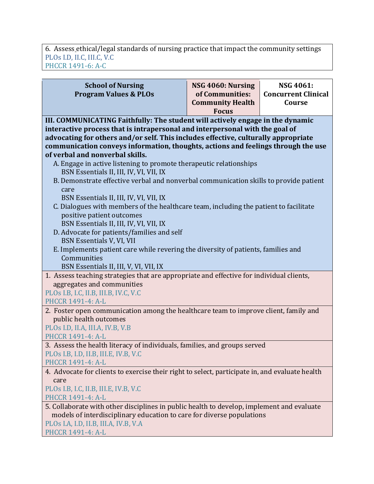6. Assess ethical/legal standards of nursing practice that impact the community settings PLOs I.D, II.C, III.C, V.C PHCCR 1491-6: A-C

| <b>School of Nursing</b><br><b>Program Values &amp; PLOs</b>                                                                                                                                                                                                                                                                                                                                                                                                                                                                                                                                                                                                                                                                                                                                                                                                                                                                                                               | NSG 4060: Nursing<br>of Communities:<br><b>Community Health</b><br><b>Focus</b> | <b>NSG 4061:</b><br><b>Concurrent Clinical</b><br>Course |
|----------------------------------------------------------------------------------------------------------------------------------------------------------------------------------------------------------------------------------------------------------------------------------------------------------------------------------------------------------------------------------------------------------------------------------------------------------------------------------------------------------------------------------------------------------------------------------------------------------------------------------------------------------------------------------------------------------------------------------------------------------------------------------------------------------------------------------------------------------------------------------------------------------------------------------------------------------------------------|---------------------------------------------------------------------------------|----------------------------------------------------------|
| III. COMMUNICATING Faithfully: The student will actively engage in the dynamic<br>interactive process that is intrapersonal and interpersonal with the goal of<br>advocating for others and/or self. This includes effective, culturally appropriate<br>communication conveys information, thoughts, actions and feelings through the use<br>of verbal and nonverbal skills.<br>A. Engage in active listening to promote therapeutic relationships<br>BSN Essentials II, III, IV, VI, VII, IX<br>B. Demonstrate effective verbal and nonverbal communication skills to provide patient<br>care<br>BSN Essentials II, III, IV, VI, VII, IX<br>C. Dialogues with members of the healthcare team, including the patient to facilitate<br>positive patient outcomes<br>BSN Essentials II, III, IV, VI, VII, IX<br>D. Advocate for patients/families and self<br>BSN Essentials V, VI, VII<br>E. Implements patient care while revering the diversity of patients, families and |                                                                                 |                                                          |
| Communities<br>BSN Essentials II, III, V, VI, VII, IX                                                                                                                                                                                                                                                                                                                                                                                                                                                                                                                                                                                                                                                                                                                                                                                                                                                                                                                      |                                                                                 |                                                          |
| 1. Assess teaching strategies that are appropriate and effective for individual clients,<br>aggregates and communities<br>PLOs I.B, I.C, II.B, III.B, IV.C, V.C<br><b>PHCCR 1491-4: A-L</b>                                                                                                                                                                                                                                                                                                                                                                                                                                                                                                                                                                                                                                                                                                                                                                                |                                                                                 |                                                          |
| 2. Foster open communication among the healthcare team to improve client, family and<br>public health outcomes<br>PLOs I.D, II.A, III.A, IV.B, V.B<br>PHCCR 1491-4: A-L                                                                                                                                                                                                                                                                                                                                                                                                                                                                                                                                                                                                                                                                                                                                                                                                    |                                                                                 |                                                          |
| 3. Assess the health literacy of individuals, families, and groups served<br>PLOs I.B, I.D, II.B, III.E, IV.B, V.C<br>PHCCR 1491-4: A-L                                                                                                                                                                                                                                                                                                                                                                                                                                                                                                                                                                                                                                                                                                                                                                                                                                    |                                                                                 |                                                          |
| 4. Advocate for clients to exercise their right to select, participate in, and evaluate health<br>care<br>PLOs I.B, I.C, II.B, III.E, IV.B, V.C<br><b>PHCCR 1491-4: A-L</b>                                                                                                                                                                                                                                                                                                                                                                                                                                                                                                                                                                                                                                                                                                                                                                                                |                                                                                 |                                                          |
| 5. Collaborate with other disciplines in public health to develop, implement and evaluate<br>models of interdisciplinary education to care for diverse populations<br>PLOs I.A, I.D, II.B, III.A, IV.B, V.A<br>PHCCR 1491-4: A-L                                                                                                                                                                                                                                                                                                                                                                                                                                                                                                                                                                                                                                                                                                                                           |                                                                                 |                                                          |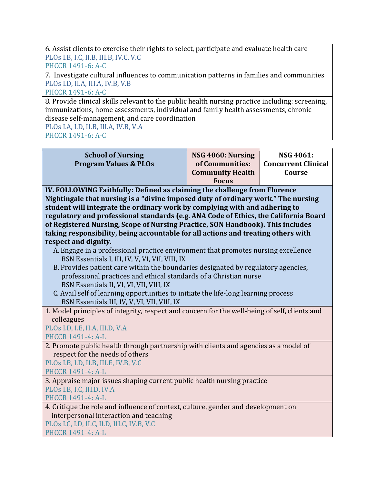6. Assist clients to exercise their rights to select, participate and evaluate health care PLOs I.B, I.C, II.B, III.B, IV.C, V.C PHCCR 1491-6: A-C

7. Investigate cultural influences to communication patterns in families and communities PLOs I.D, II.A, III.A, IV.B, V.B

PHCCR 1491-6: A-C

8. Provide clinical skills relevant to the public health nursing practice including: screening, immunizations, home assessments, individual and family health assessments, chronic disease self-management, and care coordination

PLOs I.A, I.D, II.B, III.A, IV.B, V.A

PHCCR 1491-6: A-C

| <b>School of Nursing</b><br><b>Program Values &amp; PLOs</b>                                                                                                                                                                                                                                                                                                                                                                                                                                                                                                                                                                                                                                                                                                                                                                                                                                                                                                            | NSG 4060: Nursing<br>of Communities:<br><b>Community Health</b><br><b>Focus</b> | NSG 4061:<br><b>Concurrent Clinical</b><br>Course |  |
|-------------------------------------------------------------------------------------------------------------------------------------------------------------------------------------------------------------------------------------------------------------------------------------------------------------------------------------------------------------------------------------------------------------------------------------------------------------------------------------------------------------------------------------------------------------------------------------------------------------------------------------------------------------------------------------------------------------------------------------------------------------------------------------------------------------------------------------------------------------------------------------------------------------------------------------------------------------------------|---------------------------------------------------------------------------------|---------------------------------------------------|--|
| IV. FOLLOWING Faithfully: Defined as claiming the challenge from Florence<br>Nightingale that nursing is a "divine imposed duty of ordinary work." The nursing<br>student will integrate the ordinary work by complying with and adhering to<br>regulatory and professional standards (e.g. ANA Code of Ethics, the California Board<br>of Registered Nursing, Scope of Nursing Practice, SON Handbook). This includes<br>taking responsibility, being accountable for all actions and treating others with<br>respect and dignity.<br>A. Engage in a professional practice environment that promotes nursing excellence<br>BSN Essentials I, III, IV, V, VI, VII, VIII, IX<br>B. Provides patient care within the boundaries designated by regulatory agencies,<br>professional practices and ethical standards of a Christian nurse<br>BSN Essentials II, VI, VI, VII, VIII, IX<br>C. Avail self of learning opportunities to initiate the life-long learning process |                                                                                 |                                                   |  |
| BSN Essentials III, IV, V, VI, VII, VIII, IX<br>1. Model principles of integrity, respect and concern for the well-being of self, clients and<br>colleagues<br>PLOs I.D, I.E, II.A, III.D, V.A<br>PHCCR 1491-4: A-L                                                                                                                                                                                                                                                                                                                                                                                                                                                                                                                                                                                                                                                                                                                                                     |                                                                                 |                                                   |  |
| 2. Promote public health through partnership with clients and agencies as a model of<br>respect for the needs of others<br>PLOs I.B, I.D, II.B, III.E, IV.B, V.C<br><b>PHCCR 1491-4: A-L</b>                                                                                                                                                                                                                                                                                                                                                                                                                                                                                                                                                                                                                                                                                                                                                                            |                                                                                 |                                                   |  |
| 3. Appraise major issues shaping current public health nursing practice<br>PLOs I.B, I.C, III.D, IV.A<br>PHCCR 1491-4: A-L                                                                                                                                                                                                                                                                                                                                                                                                                                                                                                                                                                                                                                                                                                                                                                                                                                              |                                                                                 |                                                   |  |
| 4. Critique the role and influence of context, culture, gender and development on<br>interpersonal interaction and teaching<br>PLOs I.C, I.D, II.C, II.D, III.C, IV.B, V.C<br>PHCCR 1491-4: A-L                                                                                                                                                                                                                                                                                                                                                                                                                                                                                                                                                                                                                                                                                                                                                                         |                                                                                 |                                                   |  |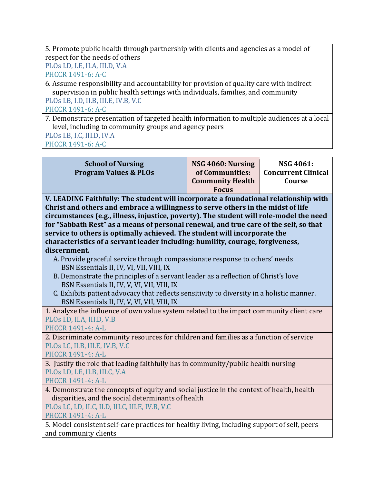5. Promote public health through partnership with clients and agencies as a model of respect for the needs of others

PLOs I.D, I.E, II.A, III.D, V.A PHCCR 1491-6: A-C

6. Assume responsibility and accountability for provision of quality care with indirect  $s$ upervision in public health settings with individuals, families, and community PLOs I.B, I.D, II.B, III.E, IV.B, V.C

PHCCR 1491-6: A-C

7. Demonstrate presentation of targeted health information to multiple audiences at a local level, including to community groups and agency peers

PLOs I.B, I.C, III.D, IV.A PHCCR 1491-6: A-C

| <b>School of Nursing</b><br><b>Program Values &amp; PLOs</b>                                                                                                                                                                                                                                                                                                                                                                                                                                                                                                                                                                                                                                                                                                                                                                                                                                             | NSG 4060: Nursing<br>of Communities:<br><b>Community Health</b><br><b>Focus</b> | <b>NSG 4061:</b><br><b>Concurrent Clinical</b><br>Course |
|----------------------------------------------------------------------------------------------------------------------------------------------------------------------------------------------------------------------------------------------------------------------------------------------------------------------------------------------------------------------------------------------------------------------------------------------------------------------------------------------------------------------------------------------------------------------------------------------------------------------------------------------------------------------------------------------------------------------------------------------------------------------------------------------------------------------------------------------------------------------------------------------------------|---------------------------------------------------------------------------------|----------------------------------------------------------|
| V. LEADING Faithfully: The student will incorporate a foundational relationship with<br>Christ and others and embrace a willingness to serve others in the midst of life<br>circumstances (e.g., illness, injustice, poverty). The student will role-model the need<br>for "Sabbath Rest" as a means of personal renewal, and true care of the self, so that<br>service to others is optimally achieved. The student will incorporate the<br>characteristics of a servant leader including: humility, courage, forgiveness,<br>discernment.<br>A. Provide graceful service through compassionate response to others' needs<br>BSN Essentials II, IV, VI, VII, VIII, IX<br>B. Demonstrate the principles of a servant leader as a reflection of Christ's love<br>BSN Essentials II, IV, V, VI, VII, VIII, IX<br>C. Exhibits patient advocacy that reflects sensitivity to diversity in a holistic manner. |                                                                                 |                                                          |
| BSN Essentials II, IV, V, VI, VII, VIII, IX<br>1. Analyze the influence of own value system related to the impact community client care                                                                                                                                                                                                                                                                                                                                                                                                                                                                                                                                                                                                                                                                                                                                                                  |                                                                                 |                                                          |
| PLOs I.D, II.A, III.D, V.B<br>PHCCR 1491-4: A-L                                                                                                                                                                                                                                                                                                                                                                                                                                                                                                                                                                                                                                                                                                                                                                                                                                                          |                                                                                 |                                                          |
| 2. Discriminate community resources for children and families as a function of service<br>PLOs I.C, II.B, III.E, IV.B, V.C<br><b>PHCCR 1491-4: A-L</b>                                                                                                                                                                                                                                                                                                                                                                                                                                                                                                                                                                                                                                                                                                                                                   |                                                                                 |                                                          |
| 3. Justify the role that leading faithfully has in community/public health nursing<br>PLOs I.D, I.E, II.B, III.C, V.A<br><b>PHCCR 1491-4: A-L</b>                                                                                                                                                                                                                                                                                                                                                                                                                                                                                                                                                                                                                                                                                                                                                        |                                                                                 |                                                          |
| 4. Demonstrate the concepts of equity and social justice in the context of health, health<br>disparities, and the social determinants of health<br>PLOs I.C, I.D, II.C, II.D, III.C, III.E, IV.B, V.C<br>PHCCR 1491-4: A-L                                                                                                                                                                                                                                                                                                                                                                                                                                                                                                                                                                                                                                                                               |                                                                                 |                                                          |
| 5. Model consistent self-care practices for healthy living, including support of self, peers<br>and community clients                                                                                                                                                                                                                                                                                                                                                                                                                                                                                                                                                                                                                                                                                                                                                                                    |                                                                                 |                                                          |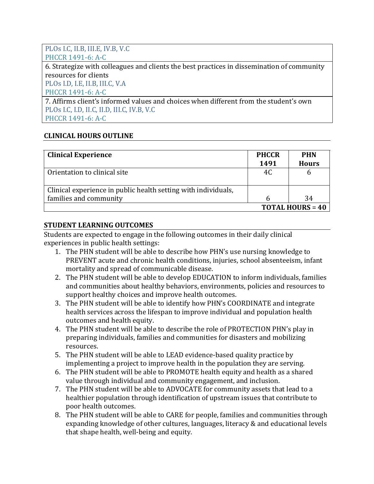#### PLOs I.C, II.B, III.E, IV.B, V.C PHCCR 1491-6: A-C

6. Strategize with colleagues and clients the best practices in dissemination of community resources for clients PLOs I.D, I.E, II.B, III.C, V.A

PHCCR 1491-6: A-C

7. Affirms client's informed values and choices when different from the student's own PLOs I.C, I.D, II.C, II.D, III.C, IV.B, V.C PHCCR 1491-6: A-C

## **CLINICAL HOURS OUTLINE**

| <b>Clinical Experience</b>                                     | <b>PHCCR</b><br>1491 | <b>PHN</b><br><b>Hours</b> |
|----------------------------------------------------------------|----------------------|----------------------------|
| Orientation to clinical site                                   | 4C                   | b                          |
| Clinical experience in public health setting with individuals, |                      |                            |
| families and community                                         |                      | 34                         |
|                                                                |                      | <b>TOTAL HOURS = 40</b>    |

### **STUDENT LEARNING OUTCOMES**

Students are expected to engage in the following outcomes in their daily clinical experiences in public health settings:

- 1. The PHN student will be able to describe how PHN's use nursing knowledge to PREVENT acute and chronic health conditions, injuries, school absenteeism, infant mortality and spread of communicable disease.
- 2. The PHN student will be able to develop EDUCATION to inform individuals, families and communities about healthy behaviors, environments, policies and resources to support healthy choices and improve health outcomes.
- 3. The PHN student will be able to identify how PHN's COORDINATE and integrate health services across the lifespan to improve individual and population health outcomes and health equity.
- 4. The PHN student will be able to describe the role of PROTECTION PHN's play in preparing individuals, families and communities for disasters and mobilizing resources.
- 5. The PHN student will be able to LEAD evidence-based quality practice by implementing a project to improve health in the population they are serving.
- 6. The PHN student will be able to PROMOTE health equity and health as a shared value through individual and community engagement, and inclusion.
- 7. The PHN student will be able to ADVOCATE for community assets that lead to a healthier population through identification of upstream issues that contribute to poor health outcomes.
- 8. The PHN student will be able to CARE for people, families and communities through expanding knowledge of other cultures, languages, literacy & and educational levels that shape health, well-being and equity.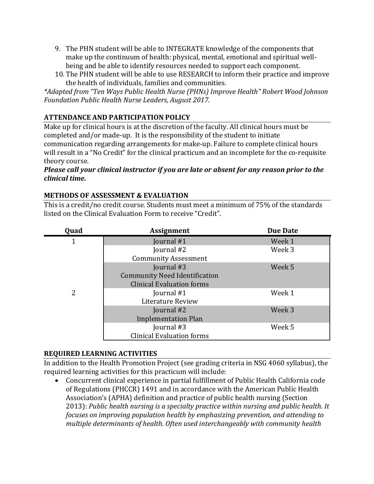- 9. The PHN student will be able to INTEGRATE knowledge of the components that make up the continuum of health: physical, mental, emotional and spiritual wellbeing and be able to identify resources needed to support each component.
- 10. The PHN student will be able to use RESEARCH to inform their practice and improve the health of individuals, families and communities.

\*Adapted from "Ten Ways Public Health Nurse (PHNs) Improve Health" Robert Wood Johnson *Foundation Public Health Nurse Leaders, August 2017.*

# **ATTENDANCE AND PARTICIPATION POLICY**

Make up for clinical hours is at the discretion of the faculty. All clinical hours must be completed and/or made-up. It is the responsibility of the student to initiate communication regarding arrangements for make-up. Failure to complete clinical hours will result in a "No Credit" for the clinical practicum and an incomplete for the co-requisite theory course.

#### *Please call your clinical instructor if you are late or absent for any reason prior to the clinical time.*

### **METHODS OF ASSESSMENT & EVALUATION**

This is a credit/no credit course. Students must meet a minimum of 75% of the standards listed on the Clinical Evaluation Form to receive "Credit".

| Quad | <b>Assignment</b>                    | <b>Due Date</b> |
|------|--------------------------------------|-----------------|
|      | Journal #1                           | Week 1          |
|      | Journal #2                           | Week 3          |
|      | <b>Community Assessment</b>          |                 |
|      | Journal #3                           | Week 5          |
|      | <b>Community Need Identification</b> |                 |
|      | <b>Clinical Evaluation forms</b>     |                 |
| 2    | Journal #1                           | Week 1          |
|      | Literature Review                    |                 |
|      | Journal #2                           | Week 3          |
|      | <b>Implementation Plan</b>           |                 |
|      | Journal #3                           | Week 5          |
|      | <b>Clinical Evaluation forms</b>     |                 |

#### **REQUIRED LEARNING ACTIVITIES**

In addition to the Health Promotion Project (see grading criteria in NSG 4060 syllabus), the required learning activities for this practicum will include:

• Concurrent clinical experience in partial fulfillment of Public Health California code of Regulations (PHCCR) 1491 and in accordance with the American Public Health Association's (APHA) definition and practice of public health nursing (Section 2013): Public health nursing is a specialty practice within nursing and public health. It *focuses* on improving population health by emphasizing prevention, and attending to multiple determinants of health. Often used interchangeably with community health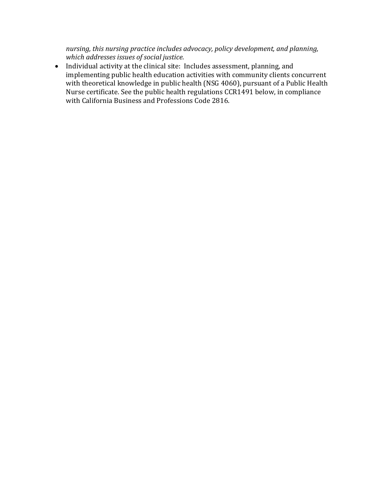nursing, this nursing practice includes advocacy, policy development, and planning, which addresses issues of social justice.

• Individual activity at the clinical site: Includes assessment, planning, and  $\frac{1}{2}$  implementing public health education activities with community clients concurrent with theoretical knowledge in public health (NSG 4060), pursuant of a Public Health Nurse certificate. See the public health regulations CCR1491 below, in compliance with California Business and Professions Code 2816.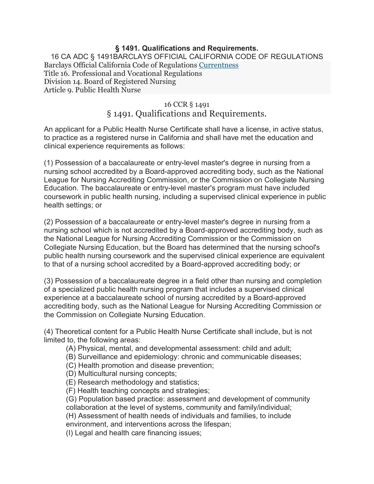#### **§ 1491. Qualifications and Requirements.**

16 CA ADC § 1491BARCLAYS OFFICIAL CALIFORNIA CODE OF REGULATIONS Barclays Official California Code of Regulations Currentness Title 16. Professional and Vocational Regulations Division 14. Board of Registered Nursing Article 9. Public Health Nurse

#### 16 CCR § 1491

# § 1491. Qualifications and Requirements.

An applicant for a Public Health Nurse Certificate shall have a license, in active status, to practice as a registered nurse in California and shall have met the education and clinical experience requirements as follows:

(1) Possession of a baccalaureate or entry-level master's degree in nursing from a nursing school accredited by a Board-approved accrediting body, such as the National League for Nursing Accrediting Commission, or the Commission on Collegiate Nursing Education. The baccalaureate or entry-level master's program must have included coursework in public health nursing, including a supervised clinical experience in public health settings; or

(2) Possession of a baccalaureate or entry-level master's degree in nursing from a nursing school which is not accredited by a Board-approved accrediting body, such as the National League for Nursing Accrediting Commission or the Commission on Collegiate Nursing Education, but the Board has determined that the nursing school's public health nursing coursework and the supervised clinical experience are equivalent to that of a nursing school accredited by a Board-approved accrediting body; or

(3) Possession of a baccalaureate degree in a field other than nursing and completion of a specialized public health nursing program that includes a supervised clinical experience at a baccalaureate school of nursing accredited by a Board-approved accrediting body, such as the National League for Nursing Accrediting Commission or the Commission on Collegiate Nursing Education.

(4) Theoretical content for a Public Health Nurse Certificate shall include, but is not limited to, the following areas:

- (A) Physical, mental, and developmental assessment: child and adult;
- (B) Surveillance and epidemiology: chronic and communicable diseases;
- (C) Health promotion and disease prevention;
- (D) Multicultural nursing concepts;
- (E) Research methodology and statistics;
- (F) Health teaching concepts and strategies;

(G) Population based practice: assessment and development of community collaboration at the level of systems, community and family/individual;

(H) Assessment of health needs of individuals and families, to include

environment, and interventions across the lifespan;

(I) Legal and health care financing issues;